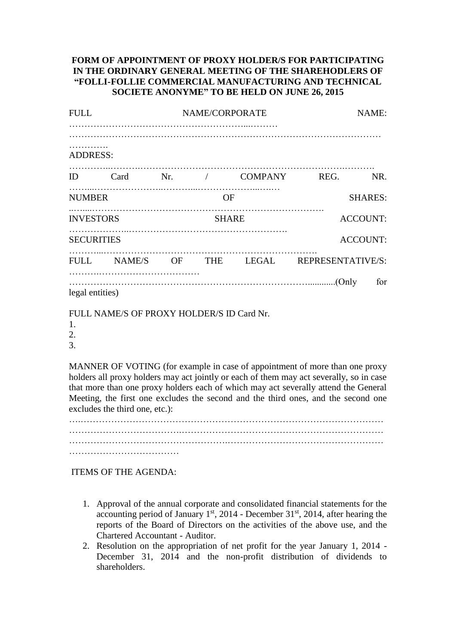## **FORM OF APPOINTMENT OF PROXY HOLDER/S FOR PARTICIPATING IN THE ORDINARY GENERAL MEETING OF THE SHAREHODLERS OF "FOLLI-FOLLIE COMMERCIAL MANUFACTURING AND TECHNICAL SOCIETE ANONYME" TO BE HELD ON JUNE 26, 2015**

| <b>FULL</b>       |                                           |              | NAME/CORPORATE | NAME:          |                                            |                 |
|-------------------|-------------------------------------------|--------------|----------------|----------------|--------------------------------------------|-----------------|
| .<br>ADDRESS:     |                                           |              |                |                |                                            |                 |
| ID                |                                           |              |                |                | Card Nr. / COMPANY REG. NR.                |                 |
| <b>NUMBER</b>     |                                           |              | <b>OF</b>      | <b>SHARES:</b> |                                            |                 |
| <b>INVESTORS</b>  |                                           | <b>SHARE</b> |                |                | <b>ACCOUNT:</b>                            |                 |
| <b>SECURITIES</b> |                                           |              |                |                |                                            | <b>ACCOUNT:</b> |
|                   |                                           |              |                |                | FULL NAME/S OF THE LEGAL REPRESENTATIVE/S: |                 |
| legal entities)   | FULL NAME/S OF PROVY HOLDER/S ID Card Nr. |              |                |                |                                            | for             |

FULL NAME/S OF PROXY HOLDER/S ID Card Nr.

1. 2.

3.

MANNER OF VOTING (for example in case of appointment of more than one proxy holders all proxy holders may act jointly or each of them may act severally, so in case that more than one proxy holders each of which may act severally attend the General Meeting, the first one excludes the second and the third ones, and the second one

excludes the third one, etc.): ….……………………………………………………………………………………… ………………………………

ITEMS OF THE AGENDA:

- 1. Approval of the annual corporate and consolidated financial statements for the accounting period of January  $1<sup>st</sup>$ , 2014 - December 31 $<sup>st</sup>$ , 2014, after hearing the</sup> reports of the Board of Directors on the activities of the above use, and the Chartered Accountant - Auditor.
- 2. Resolution on the appropriation of net profit for the year January 1, 2014 December 31, 2014 and the non-profit distribution of dividends to shareholders.